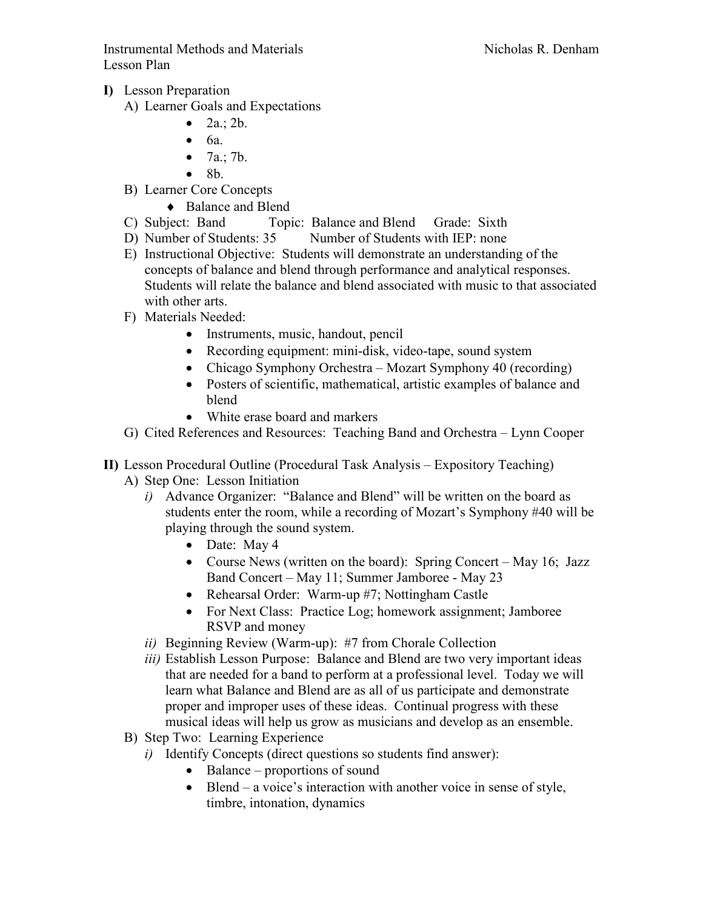Instrumental Methods and Materials Nicholas R. Denham Lesson Plan

- I) Lesson Preparation
	- A) Learner Goals and Expectations
		- $2a$ .;  $2b$ .
		- 6a.
		- $7a$ .; 7b.
		- 8b.
	- B) Learner Core Concepts
		- ♦ Balance and Blend
	- C) Subject: Band Topic: Balance and Blend Grade: Sixth
	- D) Number of Students: 35 Number of Students with IEP: none
	- E) Instructional Objective: Students will demonstrate an understanding of the concepts of balance and blend through performance and analytical responses. Students will relate the balance and blend associated with music to that associated with other arts.
	- F) Materials Needed:
		- Instruments, music, handout, pencil
		- Recording equipment: mini-disk, video-tape, sound system
		- Chicago Symphony Orchestra Mozart Symphony 40 (recording)
		- Posters of scientific, mathematical, artistic examples of balance and blend
		- White erase board and markers
	- G) Cited References and Resources: Teaching Band and Orchestra Lynn Cooper
- II) Lesson Procedural Outline (Procedural Task Analysis Expository Teaching)
	- A) Step One: Lesson Initiation
		- i) Advance Organizer: "Balance and Blend" will be written on the board as students enter the room, while a recording of Mozart's Symphony #40 will be playing through the sound system.
			- Date: May 4
			- Course News (written on the board): Spring Concert May 16; Jazz Band Concert – May 11; Summer Jamboree - May 23
			- Rehearsal Order: Warm-up #7; Nottingham Castle
			- For Next Class: Practice Log; homework assignment; Jamboree RSVP and money
		- ii) Beginning Review (Warm-up): #7 from Chorale Collection
		- iii) Establish Lesson Purpose: Balance and Blend are two very important ideas that are needed for a band to perform at a professional level. Today we will learn what Balance and Blend are as all of us participate and demonstrate proper and improper uses of these ideas. Continual progress with these musical ideas will help us grow as musicians and develop as an ensemble.
	- B) Step Two: Learning Experience
		- i) Identify Concepts (direct questions so students find answer):
			- Balance proportions of sound
			- Blend a voice's interaction with another voice in sense of style, timbre, intonation, dynamics